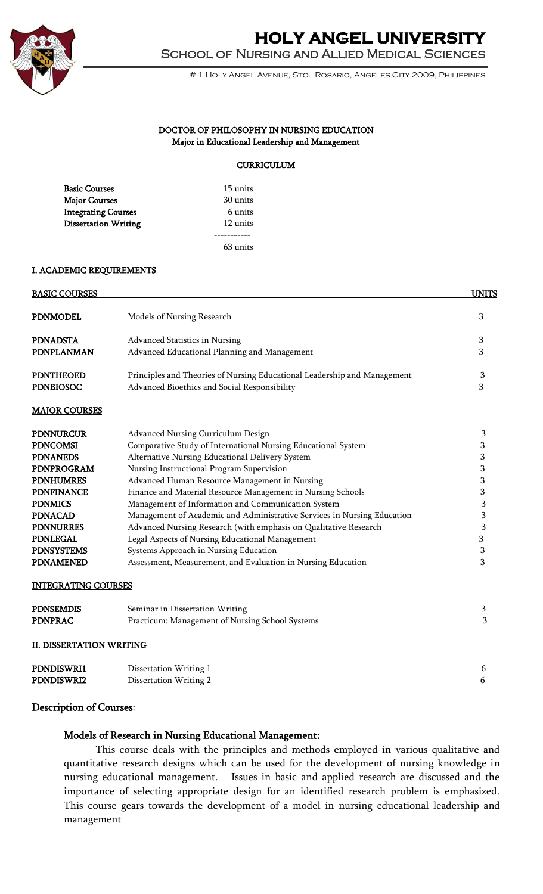

# **HOLY ANGEL UNIVERSITY**  School of Nursing and Allied Medical Sciences

# 1 Holy Angel Avenue, Sto. Rosario, Angeles City 2009, Philippines

#### DOCTOR OF PHILOSOPHY IN NURSING EDUCATION Major in Educational Leadership and Management

#### **CURRICULUM**

| <b>Basic Courses</b>        | 15 units |
|-----------------------------|----------|
| <b>Major Courses</b>        | 30 units |
| <b>Integrating Courses</b>  | 6 units  |
| <b>Dissertation Writing</b> | 12 units |
|                             |          |
|                             | 63 units |

#### I. ACADEMIC REQUIREMENTS

| <b>BASIC COURSES</b>            |                                                                          | <b>UNITS</b> |
|---------------------------------|--------------------------------------------------------------------------|--------------|
| <b>PDNMODEL</b>                 | Models of Nursing Research                                               | 3            |
| <b>PDNADSTA</b>                 | Advanced Statistics in Nursing                                           | 3            |
| PDNPLANMAN                      | Advanced Educational Planning and Management                             | 3            |
| <b>PDNTHEOED</b>                | Principles and Theories of Nursing Educational Leadership and Management | 3            |
| <b>PDNBIOSOC</b>                | Advanced Bioethics and Social Responsibility                             | 3            |
| <b>MAJOR COURSES</b>            |                                                                          |              |
| <b>PDNNURCUR</b>                | Advanced Nursing Curriculum Design                                       | 3            |
| <b>PDNCOMSI</b>                 | Comparative Study of International Nursing Educational System            | 3            |
| <b>PDNANEDS</b>                 | Alternative Nursing Educational Delivery System                          | 3            |
| PDNPROGRAM                      | Nursing Instructional Program Supervision                                | 3            |
| <b>PDNHUMRES</b>                | Advanced Human Resource Management in Nursing                            | 3            |
| <b>PDNFINANCE</b>               | Finance and Material Resource Management in Nursing Schools              | 3            |
| <b>PDNMICS</b>                  | Management of Information and Communication System                       | 3            |
| <b>PDNACAD</b>                  | Management of Academic and Administrative Services in Nursing Education  | 3            |
| <b>PDNNURRES</b>                | Advanced Nursing Research (with emphasis on Qualitative Research         | 3            |
| <b>PDNLEGAL</b>                 | Legal Aspects of Nursing Educational Management                          | 3            |
| <b>PDNSYSTEMS</b>               | Systems Approach in Nursing Education                                    | 3            |
| <b>PDNAMENED</b>                | Assessment, Measurement, and Evaluation in Nursing Education             | 3            |
| <b>INTEGRATING COURSES</b>      |                                                                          |              |
| <b>PDNSEMDIS</b>                | Seminar in Dissertation Writing                                          | 3            |
| <b>PDNPRAC</b>                  | Practicum: Management of Nursing School Systems                          | 3            |
| <b>II. DISSERTATION WRITING</b> |                                                                          |              |
| PDNDISWRI1                      | Dissertation Writing 1                                                   | 6            |
| PDNDISWRI2                      | Dissertation Writing 2                                                   | 6            |

#### Description of Courses:

### Models of Research in Nursing Educational Management:

This course deals with the principles and methods employed in various qualitative and quantitative research designs which can be used for the development of nursing knowledge in nursing educational management. Issues in basic and applied research are discussed and the importance of selecting appropriate design for an identified research problem is emphasized. This course gears towards the development of a model in nursing educational leadership and management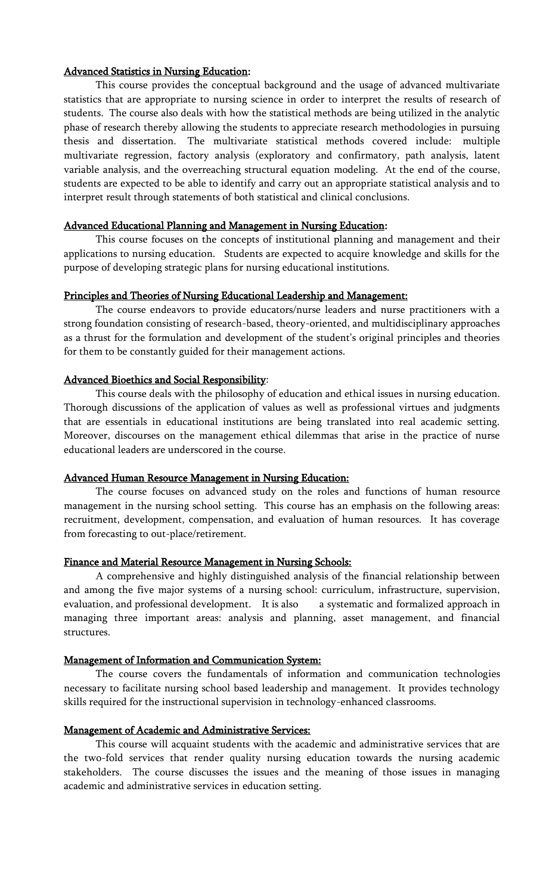#### Advanced Statistics in Nursing Education:

This course provides the conceptual background and the usage of advanced multivariate statistics that are appropriate to nursing science in order to interpret the results of research of students. The course also deals with how the statistical methods are being utilized in the analytic phase of research thereby allowing the students to appreciate research methodologies in pursuing thesis and dissertation. The multivariate statistical methods covered include: multiple multivariate regression, factory analysis (exploratory and confirmatory, path analysis, latent variable analysis, and the overreaching structural equation modeling. At the end of the course, students are expected to be able to identify and carry out an appropriate statistical analysis and to interpret result through statements of both statistical and clinical conclusions.

#### Advanced Educational Planning and Management in Nursing Education:

This course focuses on the concepts of institutional planning and management and their applications to nursing education. Students are expected to acquire knowledge and skills for the purpose of developing strategic plans for nursing educational institutions.

#### Principles and Theories of Nursing Educational Leadership and Management:

The course endeavors to provide educators/nurse leaders and nurse practitioners with a strong foundation consisting of research-based, theory-oriented, and multidisciplinary approaches as a thrust for the formulation and development of the student's original principles and theories for them to be constantly guided for their management actions.

#### Advanced Bioethics and Social Responsibility:

This course deals with the philosophy of education and ethical issues in nursing education. Thorough discussions of the application of values as well as professional virtues and judgments that are essentials in educational institutions are being translated into real academic setting. Moreover, discourses on the management ethical dilemmas that arise in the practice of nurse educational leaders are underscored in the course.

#### Advanced Human Resource Management in Nursing Education:

The course focuses on advanced study on the roles and functions of human resource management in the nursing school setting. This course has an emphasis on the following areas: recruitment, development, compensation, and evaluation of human resources. It has coverage from forecasting to out-place/retirement.

#### Finance and Material Resource Management in Nursing Schools:

A comprehensive and highly distinguished analysis of the financial relationship between and among the five major systems of a nursing school: curriculum, infrastructure, supervision, evaluation, and professional development. It is also a systematic and formalized approach in managing three important areas: analysis and planning, asset management, and financial structures.

#### Management of Information and Communication System:

The course covers the fundamentals of information and communication technologies necessary to facilitate nursing school based leadership and management. It provides technology skills required for the instructional supervision in technology-enhanced classrooms.

#### Management of Academic and Administrative Services:

This course will acquaint students with the academic and administrative services that are the two-fold services that render quality nursing education towards the nursing academic stakeholders. The course discusses the issues and the meaning of those issues in managing academic and administrative services in education setting.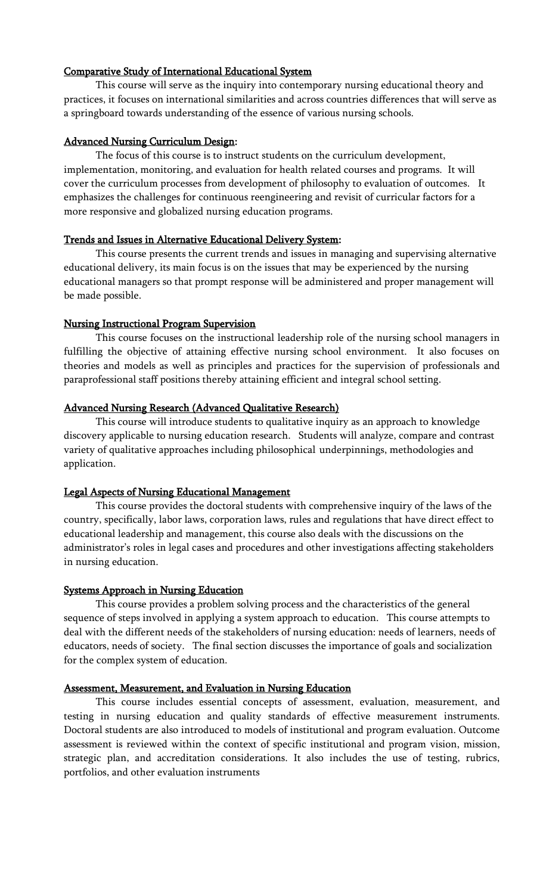### Comparative Study of International Educational System

This course will serve as the inquiry into contemporary nursing educational theory and practices, it focuses on international similarities and across countries differences that will serve as a springboard towards understanding of the essence of various nursing schools.

## Advanced Nursing Curriculum Design:

The focus of this course is to instruct students on the curriculum development, implementation, monitoring, and evaluation for health related courses and programs. It will cover the curriculum processes from development of philosophy to evaluation of outcomes. It emphasizes the challenges for continuous reengineering and revisit of curricular factors for a more responsive and globalized nursing education programs.

## Trends and Issues in Alternative Educational Delivery System:

This course presents the current trends and issues in managing and supervising alternative educational delivery, its main focus is on the issues that may be experienced by the nursing educational managers so that prompt response will be administered and proper management will be made possible.

## Nursing Instructional Program Supervision

This course focuses on the instructional leadership role of the nursing school managers in fulfilling the objective of attaining effective nursing school environment. It also focuses on theories and models as well as principles and practices for the supervision of professionals and paraprofessional staff positions thereby attaining efficient and integral school setting.

## Advanced Nursing Research (Advanced Qualitative Research)

This course will introduce students to qualitative inquiry as an approach to knowledge discovery applicable to nursing education research. Students will analyze, compare and contrast variety of qualitative approaches including philosophical underpinnings, methodologies and application.

### Legal Aspects of Nursing Educational Management

This course provides the doctoral students with comprehensive inquiry of the laws of the country, specifically, labor laws, corporation laws, rules and regulations that have direct effect to educational leadership and management, this course also deals with the discussions on the administrator's roles in legal cases and procedures and other investigations affecting stakeholders in nursing education.

### Systems Approach in Nursing Education

This course provides a problem solving process and the characteristics of the general sequence of steps involved in applying a system approach to education. This course attempts to deal with the different needs of the stakeholders of nursing education: needs of learners, needs of educators, needs of society. The final section discusses the importance of goals and socialization for the complex system of education.

### Assessment, Measurement, and Evaluation in Nursing Education

This course includes essential concepts of assessment, evaluation, measurement, and testing in nursing education and quality standards of effective measurement instruments. Doctoral students are also introduced to models of institutional and program evaluation. Outcome assessment is reviewed within the context of specific institutional and program vision, mission, strategic plan, and accreditation considerations. It also includes the use of testing, rubrics, portfolios, and other evaluation instruments